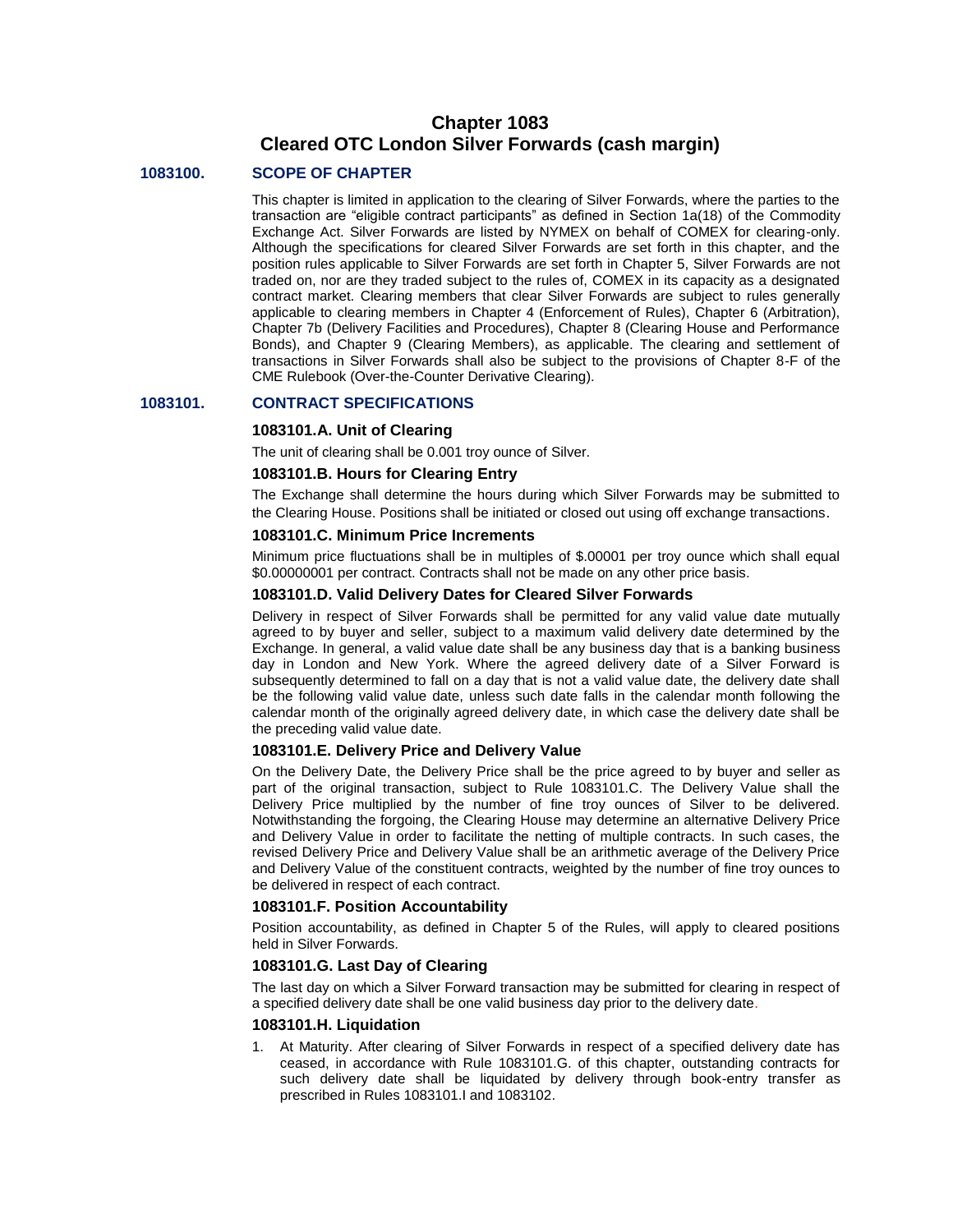# **Chapter 1083 Cleared OTC London Silver Forwards (cash margin)**

## **1083100. SCOPE OF CHAPTER**

This chapter is limited in application to the clearing of Silver Forwards, where the parties to the transaction are "eligible contract participants" as defined in Section 1a(18) of the Commodity Exchange Act. Silver Forwards are listed by NYMEX on behalf of COMEX for clearing-only. Although the specifications for cleared Silver Forwards are set forth in this chapter, and the position rules applicable to Silver Forwards are set forth in Chapter 5, Silver Forwards are not traded on, nor are they traded subject to the rules of, COMEX in its capacity as a designated contract market. Clearing members that clear Silver Forwards are subject to rules generally applicable to clearing members in Chapter 4 (Enforcement of Rules), Chapter 6 (Arbitration), Chapter 7b (Delivery Facilities and Procedures), Chapter 8 (Clearing House and Performance Bonds), and Chapter 9 (Clearing Members), as applicable. The clearing and settlement of transactions in Silver Forwards shall also be subject to the provisions of Chapter 8-F of the CME Rulebook (Over-the-Counter Derivative Clearing).

## **1083101. CONTRACT SPECIFICATIONS**

## **1083101.A. Unit of Clearing**

The unit of clearing shall be 0.001 troy ounce of Silver.

## **1083101.B. Hours for Clearing Entry**

The Exchange shall determine the hours during which Silver Forwards may be submitted to the Clearing House. Positions shall be initiated or closed out using off exchange transactions.

## **1083101.C. Minimum Price Increments**

Minimum price fluctuations shall be in multiples of \$.00001 per troy ounce which shall equal \$0.00000001 per contract. Contracts shall not be made on any other price basis.

## **1083101.D. Valid Delivery Dates for Cleared Silver Forwards**

Delivery in respect of Silver Forwards shall be permitted for any valid value date mutually agreed to by buyer and seller, subject to a maximum valid delivery date determined by the Exchange. In general, a valid value date shall be any business day that is a banking business day in London and New York. Where the agreed delivery date of a Silver Forward is subsequently determined to fall on a day that is not a valid value date, the delivery date shall be the following valid value date, unless such date falls in the calendar month following the calendar month of the originally agreed delivery date, in which case the delivery date shall be the preceding valid value date.

## **1083101.E. Delivery Price and Delivery Value**

On the Delivery Date, the Delivery Price shall be the price agreed to by buyer and seller as part of the original transaction, subject to Rule 1083101.C. The Delivery Value shall the Delivery Price multiplied by the number of fine troy ounces of Silver to be delivered. Notwithstanding the forgoing, the Clearing House may determine an alternative Delivery Price and Delivery Value in order to facilitate the netting of multiple contracts. In such cases, the revised Delivery Price and Delivery Value shall be an arithmetic average of the Delivery Price and Delivery Value of the constituent contracts, weighted by the number of fine troy ounces to be delivered in respect of each contract.

#### **1083101.F. Position Accountability**

Position accountability, as defined in Chapter 5 of the Rules, will apply to cleared positions held in Silver Forwards.

## **1083101.G. Last Day of Clearing**

The last day on which a Silver Forward transaction may be submitted for clearing in respect of a specified delivery date shall be one valid business day prior to the delivery date.

## **1083101.H. Liquidation**

1. At Maturity. After clearing of Silver Forwards in respect of a specified delivery date has ceased, in accordance with Rule 1083101.G. of this chapter, outstanding contracts for such delivery date shall be liquidated by delivery through book-entry transfer as prescribed in Rules 1083101.I and 1083102.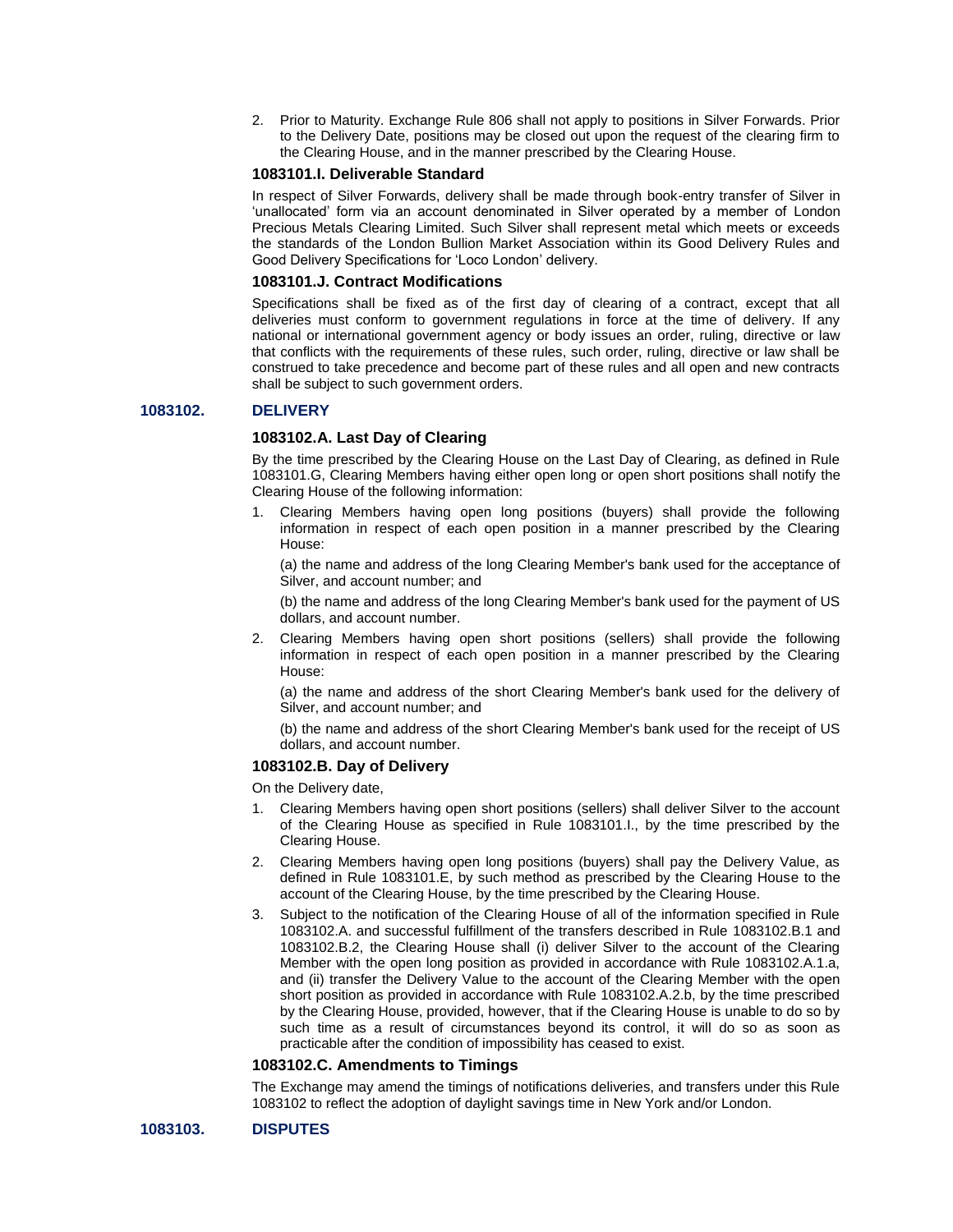2. Prior to Maturity. Exchange Rule 806 shall not apply to positions in Silver Forwards. Prior to the Delivery Date, positions may be closed out upon the request of the clearing firm to the Clearing House, and in the manner prescribed by the Clearing House.

## **1083101.I. Deliverable Standard**

In respect of Silver Forwards, delivery shall be made through book-entry transfer of Silver in 'unallocated' form via an account denominated in Silver operated by a member of London Precious Metals Clearing Limited. Such Silver shall represent metal which meets or exceeds the standards of the London Bullion Market Association within its Good Delivery Rules and Good Delivery Specifications for 'Loco London' delivery.

# **1083101.J. Contract Modifications**

Specifications shall be fixed as of the first day of clearing of a contract, except that all deliveries must conform to government regulations in force at the time of delivery. If any national or international government agency or body issues an order, ruling, directive or law that conflicts with the requirements of these rules, such order, ruling, directive or law shall be construed to take precedence and become part of these rules and all open and new contracts shall be subject to such government orders.

## **1083102. DELIVERY**

# **1083102.A. Last Day of Clearing**

By the time prescribed by the Clearing House on the Last Day of Clearing, as defined in Rule 1083101.G, Clearing Members having either open long or open short positions shall notify the Clearing House of the following information:

1. Clearing Members having open long positions (buyers) shall provide the following information in respect of each open position in a manner prescribed by the Clearing House:

(a) the name and address of the long Clearing Member's bank used for the acceptance of Silver, and account number; and

(b) the name and address of the long Clearing Member's bank used for the payment of US dollars, and account number.

2. Clearing Members having open short positions (sellers) shall provide the following information in respect of each open position in a manner prescribed by the Clearing House:

(a) the name and address of the short Clearing Member's bank used for the delivery of Silver, and account number; and

(b) the name and address of the short Clearing Member's bank used for the receipt of US dollars, and account number.

#### **1083102.B. Day of Delivery**

On the Delivery date,

- 1. Clearing Members having open short positions (sellers) shall deliver Silver to the account of the Clearing House as specified in Rule 1083101.I., by the time prescribed by the Clearing House.
- 2. Clearing Members having open long positions (buyers) shall pay the Delivery Value, as defined in Rule 1083101.E, by such method as prescribed by the Clearing House to the account of the Clearing House, by the time prescribed by the Clearing House.
- 3. Subject to the notification of the Clearing House of all of the information specified in Rule 1083102.A. and successful fulfillment of the transfers described in Rule 1083102.B.1 and 1083102.B.2, the Clearing House shall (i) deliver Silver to the account of the Clearing Member with the open long position as provided in accordance with Rule 1083102.A.1.a, and (ii) transfer the Delivery Value to the account of the Clearing Member with the open short position as provided in accordance with Rule 1083102.A.2.b, by the time prescribed by the Clearing House, provided, however, that if the Clearing House is unable to do so by such time as a result of circumstances beyond its control, it will do so as soon as practicable after the condition of impossibility has ceased to exist.

## **1083102.C. Amendments to Timings**

The Exchange may amend the timings of notifications deliveries, and transfers under this Rule 1083102 to reflect the adoption of daylight savings time in New York and/or London.

## **1083103. DISPUTES**